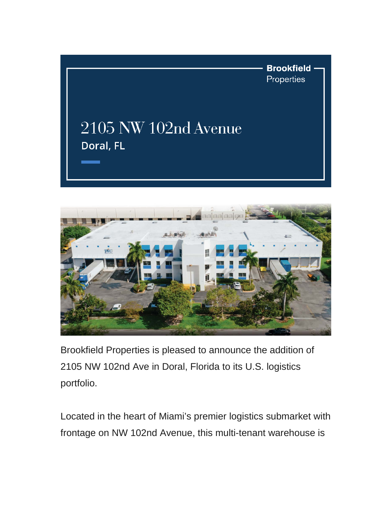



Brookfield Properties is pleased to announce the addition of 2105 NW 102nd Ave in Doral, Florida to its U.S. logistics portfolio.

Located in the heart of Miami's premier logistics submarket with frontage on NW 102nd Avenue, this multi-tenant warehouse is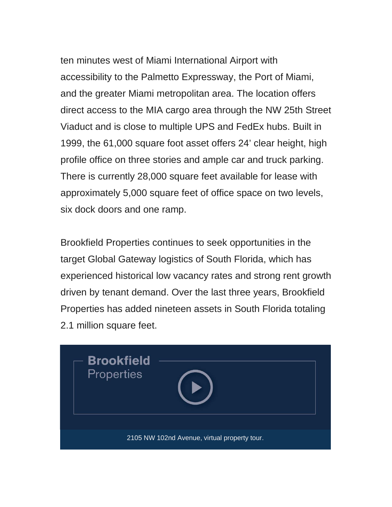ten minutes west of Miami International Airport with accessibility to the Palmetto Expressway, the Port of Miami, and the greater Miami metropolitan area. The location offers direct access to the MIA cargo area through the NW 25th Street Viaduct and is close to multiple UPS and FedEx hubs. Built in 1999, the 61,000 square foot asset offers 24' clear height, high profile office on three stories and ample car and truck parking. There is currently 28,000 square feet available for lease with approximately 5,000 square feet of office space on two levels, six dock doors and one ramp.

Brookfield Properties continues to seek opportunities in the target Global Gateway logistics of South Florida, which has experienced historical low vacancy rates and strong rent growth driven by tenant demand. Over the last three years, Brookfield Properties has added nineteen assets in South Florida totaling 2.1 million square feet.